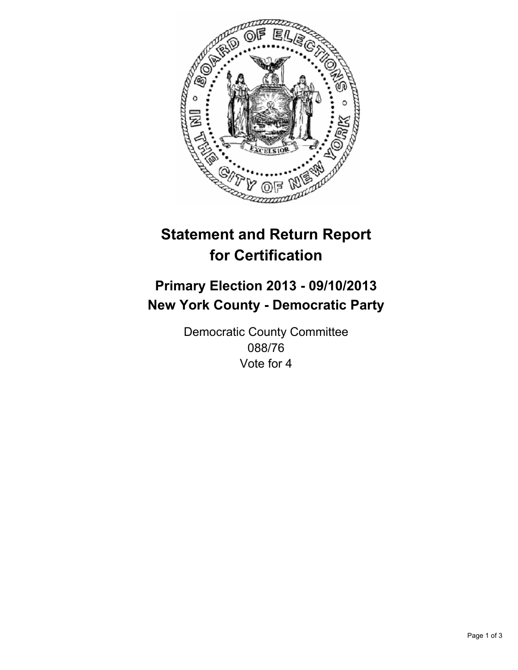

# **Statement and Return Report for Certification**

## **Primary Election 2013 - 09/10/2013 New York County - Democratic Party**

Democratic County Committee 088/76 Vote for 4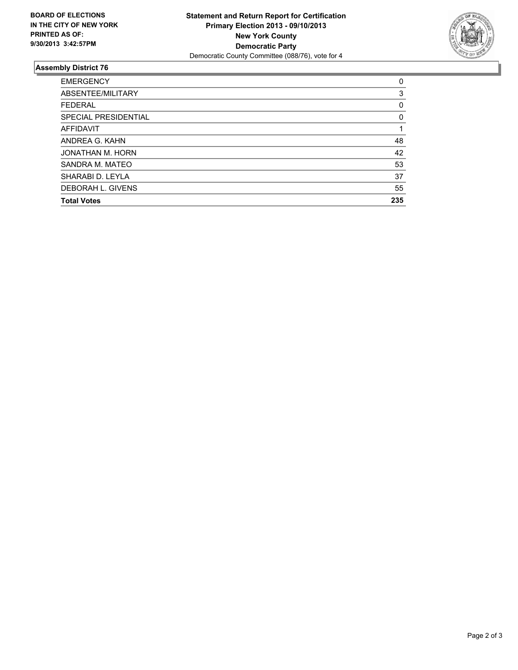

### **Assembly District 76**

| <b>EMERGENCY</b>         | 0   |
|--------------------------|-----|
| ABSENTEE/MILITARY        | 3   |
| <b>FEDERAL</b>           | 0   |
| SPECIAL PRESIDENTIAL     | 0   |
| <b>AFFIDAVIT</b>         |     |
| ANDREA G. KAHN           | 48  |
| JONATHAN M. HORN         | 42  |
| SANDRA M. MATEO          | 53  |
| SHARABI D. LEYLA         | 37  |
| <b>DEBORAH L. GIVENS</b> | 55  |
| <b>Total Votes</b>       | 235 |